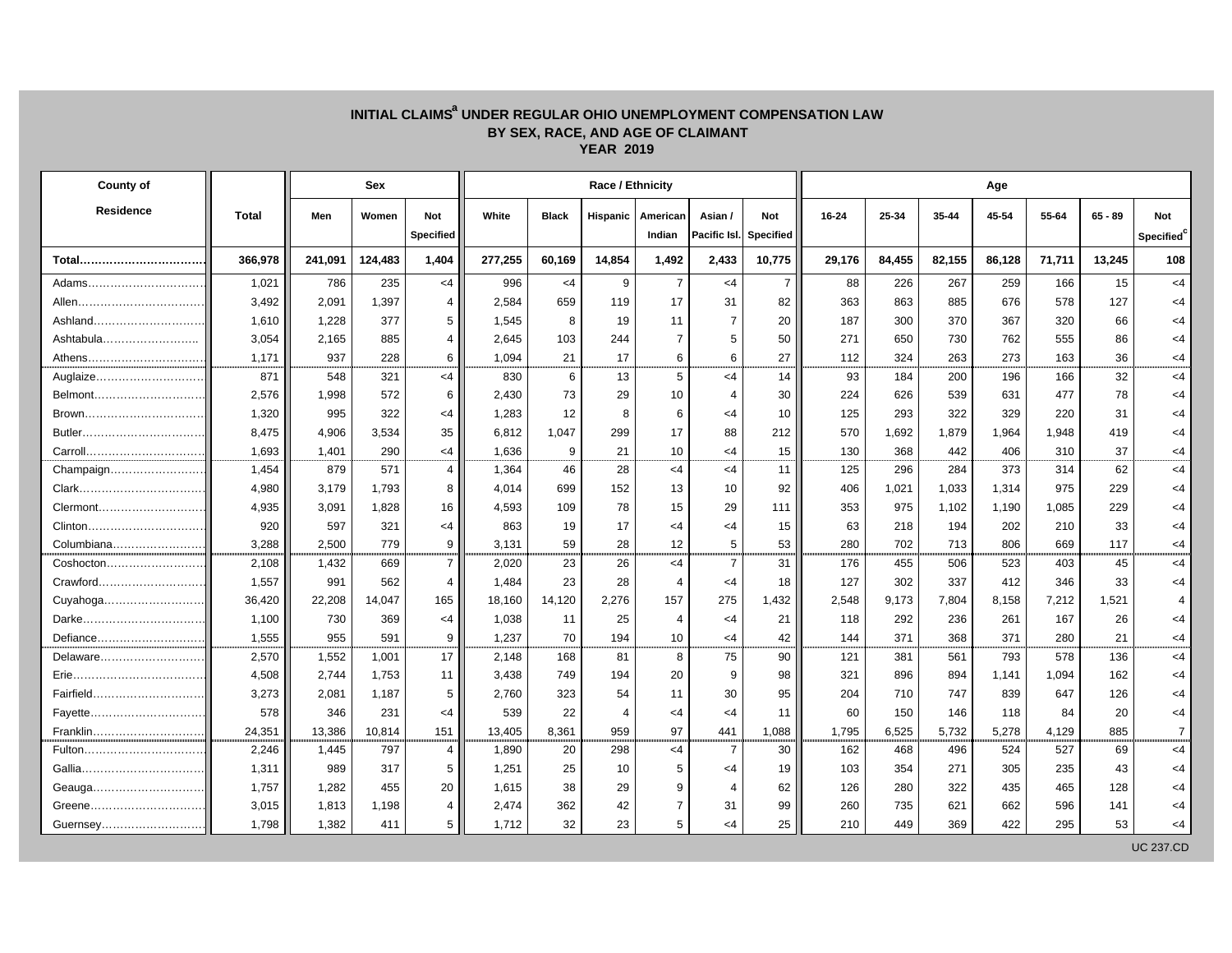## INITIAL CLAIMS<sup>a</sup> UNDER REGULAR OHIO UNEMPLOYMENT COMPENSATION LAW **BY SEX, RACE, AND AGE OF CLAIMANT YEAR 2019**

| County of               |              |         | Sex     |                  |         |              | Race / Ethnicity |                |                |                  | Age       |        |        |        |        |           |                  |  |
|-------------------------|--------------|---------|---------|------------------|---------|--------------|------------------|----------------|----------------|------------------|-----------|--------|--------|--------|--------|-----------|------------------|--|
| <b>Residence</b>        | <b>Total</b> | Men     | Women   | <b>Not</b>       | White   | <b>Black</b> | Hispanic         | American       | Asian /        | <b>Not</b>       | $16 - 24$ | 25-34  | 35-44  | 45-54  | 55-64  | $65 - 89$ | Not              |  |
|                         |              |         |         | <b>Specified</b> |         |              |                  | Indian         | Pacific Isl.   | <b>Specified</b> |           |        |        |        |        |           | Specified        |  |
| Total                   | 366,978      | 241,091 | 124,483 | 1,404            | 277,255 | 60,169       | 14,854           | 1,492          | 2,433          | 10,775           | 29,176    | 84,455 | 82,155 | 86,128 | 71,711 | 13,245    | 108              |  |
| Adams                   | 1,021        | 786     | 235     | $<$ 4            | 996     | $<$ 4        | 9                | $\overline{7}$ | $<$ 4          | $\overline{7}$   | 88        | 226    | 267    | 259    | 166    | 15        | $<$ 4            |  |
|                         | 3,492        | 2,091   | 1,397   | $\overline{4}$   | 2,584   | 659          | 119              | 17             | 31             | 82               | 363       | 863    | 885    | 676    | 578    | 127       | $<$ 4            |  |
|                         | 1,610        | 1,228   | 377     | 5                | 1,545   | 8            | 19               | 11             | $\overline{7}$ | 20               | 187       | 300    | 370    | 367    | 320    | 66        | $<$ 4            |  |
| Ashtabula               | 3,054        | 2,165   | 885     | 4                | 2,645   | 103          | 244              | $\overline{7}$ | 5              | 50               | 271       | 650    | 730    | 762    | 555    | 86        | $<$ 4            |  |
| Athens                  | 1,171        | 937     | 228     | 6                | 1,094   | 21           | 17               | 6              | 6              | 27               | 112       | 324    | 263    | 273    | 163    | 36        | $<$ 4            |  |
|                         | 871          | 548     | 321     | $<$ 4            | 830     | 6            | 13               | 5              | $<$ 4          | 14               | 93        | 184    | 200    | 196    | 166    | 32        | $<$ 4            |  |
|                         | 2,576        | 1,998   | 572     | 6                | 2,430   | 73           | 29               | 10             | $\overline{4}$ | 30               | 224       | 626    | 539    | 631    | 477    | 78        | $<$ 4            |  |
|                         | 1,320        | 995     | 322     | <4               | 1,283   | 12           | 8                | 6              | <4             | 10               | 125       | 293    | 322    | 329    | 220    | 31        | $<$ 4            |  |
|                         | 8,475        | 4,906   | 3,534   | 35               | 6,812   | 1,047        | 299              | 17             | 88             | 212              | 570       | 1,692  | 1,879  | 1,964  | 1,948  | 419       | $<$ 4            |  |
| Carroll                 | 1,693        | 1,401   | 290     | $<$ 4            | 1,636   | 9            | 21               | 10             | <4             | 15               | 130       | 368    | 442    | 406    | 310    | 37        | $<$ 4            |  |
| Champaign               | 1,454        | 879     | 571     | $\overline{4}$   | 1,364   | 46           | 28               | <4             | <4             | 11               | 125       | 296    | 284    | 373    | 314    | 62        | $<$ 4            |  |
|                         | 4,980        | 3,179   | 1,793   | 8                | 4,014   | 699          | 152              | 13             | 10             | 92               | 406       | 1,021  | 1,033  | 1,314  | 975    | 229       | $<$ 4            |  |
| Clermont                | 4,935        | 3,091   | 1,828   | 16               | 4,593   | 109          | 78               | 15             | 29             | 111              | 353       | 975    | 1,102  | 1,190  | 1,085  | 229       | $<$ 4            |  |
| Clinton                 | 920          | 597     | 321     | <4               | 863     | 19           | 17               | <4             | <4             | 15               | 63        | 218    | 194    | 202    | 210    | 33        | $<$ 4            |  |
| Columbiana              | 3,288        | 2,500   | 779     | 9                | 3,131   | 59           | 28               | 12             | 5              | 53               | 280       | 702    | 713    | 806    | 669    | 117       | $<$ 4            |  |
|                         | 2,108        | 1,432   | 669     | $\overline{7}$   | 2,020   | 23           | 26               | $<$ 4          | $\overline{7}$ | 31               | 176       | 455    | 506    | 523    | 403    | 45        | $<$ 4            |  |
| Crawford <mark>.</mark> | 1,557        | 991     | 562     | $4 \cdot$        | 1,484   | 23           | 28               | $\overline{4}$ | $<$ 4          | 18               | 127       | 302    | 337    | 412    | 346    | 33        | $<$ 4            |  |
| Cuyahoga                | 36,420       | 22,208  | 14,047  | 165              | 18,160  | 14,120       | 2,276            | 157            | 275            | 1,432            | 2,548     | 9,173  | 7,804  | 8,158  | 7,212  | 1,521     | 4                |  |
|                         | 1,100        | 730     | 369     | <4               | 1,038   | 11           | 25               | 4              | $<$ 4          | 21               | 118       | 292    | 236    | 261    | 167    | 26        | $<$ 4            |  |
| Defiance                | 1,555        | 955     | 591     | 9                | 1,237   | 70           | 194              | 10             | <4             | 42               | 144       | 371    | 368    | 371    | 280    | 21        | $<$ 4            |  |
| Delaware                | 2,570        | 1,552   | 1,001   | 17               | 2,148   | 168          | 81               | 8              | 75             | 90               | 121       | 381    | 561    | 793    | 578    | 136       | $<$ 4            |  |
|                         | 4,508        | 2,744   | 1,753   | 11               | 3,438   | 749          | 194              | 20             | 9              | 98               | 321       | 896    | 894    | 1,141  | 1,094  | 162       | $<$ 4            |  |
|                         | 3,273        | 2,081   | 1,187   | 5                | 2,760   | 323          | 54               | 11             | 30             | 95               | 204       | 710    | 747    | 839    | 647    | 126       | $<$ 4            |  |
|                         | 578          | 346     | 231     | $<$ 4            | 539     | 22           | $\overline{4}$   | <4             | $<$ 4          | 11               | 60        | 150    | 146    | 118    | 84     | 20        | $<$ 4            |  |
| Franklin                | 24,351       | 13,386  | 10,814  | 151              | 13,405  | 8,361        | 959              | 97             | 441            | 1,088            | 1,795     | 6,525  | 5,732  | 5,278  | 4,129  | 885       | $\overline{7}$   |  |
|                         | 2,246        | 1,445   | 797     | 4                | 1,890   | 20           | 298              | <4             | $\overline{7}$ | 30               | 162       | 468    | 496    | 524    | 527    | 69        | $<$ 4            |  |
|                         | 1,311        | 989     | 317     | 5                | 1,251   | 25           | 10               | 5              | <4             | 19               | 103       | 354    | 271    | 305    | 235    | 43        | $<$ 4            |  |
|                         | 1,757        | 1,282   | 455     | 20               | 1,615   | 38           | 29               | 9              | 4              | 62               | 126       | 280    | 322    | 435    | 465    | 128       | $<$ 4            |  |
|                         | 3,015        | 1,813   | 1,198   | 4                | 2,474   | 362          | 42               | $\overline{7}$ | 31             | 99               | 260       | 735    | 621    | 662    | 596    | 141       | $<$ 4            |  |
| Guernsey                | 1,798        | 1,382   | 411     | 5                | 1,712   | 32           | 23               | 5              | <4             | 25               | 210       | 449    | 369    | 422    | 295    | 53        | <4               |  |
|                         |              |         |         |                  |         |              |                  |                |                |                  |           |        |        |        |        |           | <b>UC 237.CD</b> |  |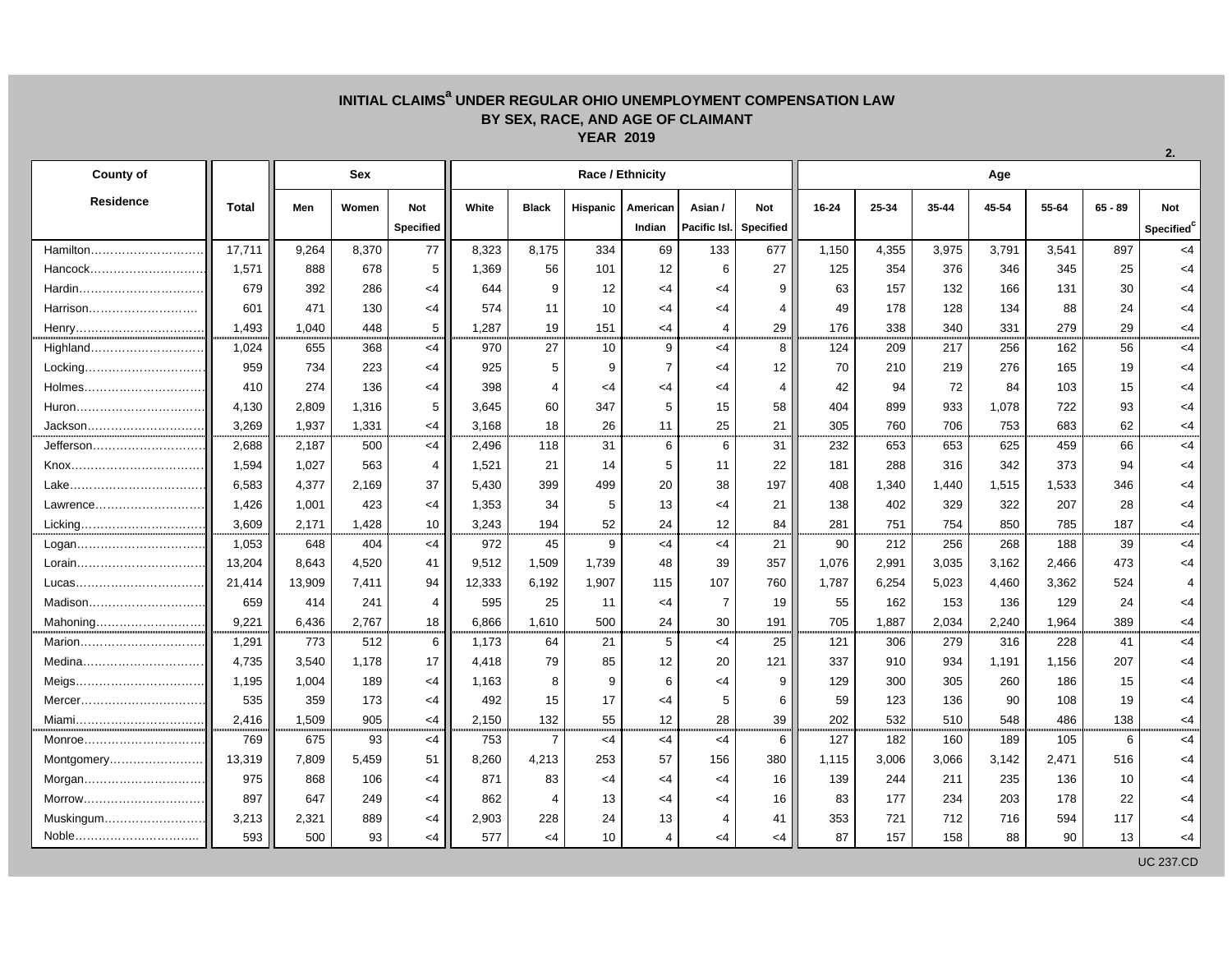## **INITIAL CLAIMSa UNDER REGULAR OHIO UNEMPLOYMENT COMPENSATION LAW BY SEX, RACE, AND AGE OF CLAIMANT YEAR 2019**

| <b>County of</b>                                                 |              | Sex    |       |                  |        |                | Race / Ethnicity |                 |                |                  | Age       |       |       |       |       |           |                        |  |  |
|------------------------------------------------------------------|--------------|--------|-------|------------------|--------|----------------|------------------|-----------------|----------------|------------------|-----------|-------|-------|-------|-------|-----------|------------------------|--|--|
| <b>Residence</b>                                                 | <b>Total</b> | Men    | Women | Not              | White  | <b>Black</b>   | Hispanic         | American        | Asian /        | Not              | $16 - 24$ | 25-34 | 35-44 | 45-54 | 55-64 | $65 - 89$ | Not                    |  |  |
|                                                                  |              |        |       | <b>Specified</b> |        |                |                  | Indian          | Pacific Isl.   | <b>Specified</b> |           |       |       |       |       |           | Specified <sup>c</sup> |  |  |
| Hamilton                                                         | 17,711       | 9,264  | 8,370 | 77               | 8,323  | 8,175          | 334              | 69              | 133            | 677              | 1,150     | 4,355 | 3,975 | 3,791 | 3,541 | 897       | $<$ 4                  |  |  |
| Hancock                                                          | 1,571        | 888    | 678   | 5                | 1,369  | 56             | 101              | 12              | 6              | 27               | 125       | 354   | 376   | 346   | 345   | 25        | $<$ 4                  |  |  |
|                                                                  | 679          | 392    | 286   | $<$ 4            | 644    | 9              | 12               | $<$ 4           | $<$ 4          | 9                | 63        | 157   | 132   | 166   | 131   | 30        | $<$ 4                  |  |  |
| Harrison                                                         | 601          | 471    | 130   | $<$ 4            | 574    | 11             | 10               | <4              | $<$ 4          | 4                | 49        | 178   | 128   | 134   | 88    | 24        | <4                     |  |  |
|                                                                  | 1,493        | 1,040  | 448   | 5                | 1,287  | 19             | 151              | $<$ 4           | 4              | 29               | 176       | 338   | 340   | 331   | 279   | 29        | $<$ 4                  |  |  |
|                                                                  | 1,024        | 655    | 368   | $<$ 4            | 970    | 27             | 10               | 9               | <4             | 8                | 124       | 209   | 217   | 256   | 162   | 56        | $<$ 4                  |  |  |
|                                                                  | 959          | 734    | 223   | $<$ 4            | 925    | 5              | 9                | $\overline{7}$  | $<$ 4          | 12               | 70        | 210   | 219   | 276   | 165   | 19        | $<$ 4                  |  |  |
|                                                                  | 410          | 274    | 136   | $<$ 4            | 398    | $\overline{4}$ | $\leq 4$         | $<$ 4           | $<$ 4          | 4                | 42        | 94    | 72    | 84    | 103   | 15        | $<$ 4                  |  |  |
|                                                                  | 4,130        | 2,809  | 1,316 | 5                | 3,645  | 60             | 347              | 5               | 15             | 58               | 404       | 899   | 933   | 1,078 | 722   | 93        | <4                     |  |  |
| Jackson                                                          | 3,269        | 1,937  | 1,331 | $<$ 4            | 3,168  | 18             | 26               | 11              | 25             | 21               | 305       | 760   | 706   | 753   | 683   | 62        | $<$ 4                  |  |  |
| Jefferson                                                        | 2,688        | 2,187  | 500   | $<$ 4            | 2,496  | 118            | 31               | $6\phantom{1}6$ | 6              | 31               | 232       | 653   | 653   | 625   | 459   | 66        | $<$ 4                  |  |  |
|                                                                  | 1,594        | 1,027  | 563   | $\overline{4}$   | 1,521  | 21             | 14               | 5               | 11             | 22               | 181       | 288   | 316   | 342   | 373   | 94        | $<$ 4                  |  |  |
|                                                                  | 6,583        | 4,377  | 2,169 | 37               | 5,430  | 399            | 499              | 20              | 38             | 197              | 408       | 1,340 | 1,440 | 1,515 | 1,533 | 346       | <4                     |  |  |
| Lawrence                                                         | 1,426        | 1,001  | 423   | $<$ 4            | 1,353  | 34             | 5                | 13              | $\leq$ 4       | 21               | 138       | 402   | 329   | 322   | 207   | 28        | $<$ 4                  |  |  |
| Licking                                                          | 3,609        | 2,171  | 1,428 | 10               | 3,243  | 194            | 52               | 24              | 12             | 84               | 281       | 751   | 754   | 850   | 785   | 187       | $<$ 4                  |  |  |
| Logan                                                            | 1,053        | 648    | 404   | $<$ 4            | 972    | 45             | 9                | $<$ 4           | $<$ 4          | 21               | 90        | 212   | 256   | 268   | 188   | 39        | $<$ 4                  |  |  |
|                                                                  | 13,204       | 8,643  | 4,520 | 41               | 9,512  | 1,509          | 1,739            | 48              | 39             | 357              | 1,076     | 2,991 | 3,035 | 3,162 | 2,466 | 473       | $<$ 4                  |  |  |
|                                                                  | 21,414       | 13,909 | 7,411 | 94               | 12,333 | 6,192          | 1,907            | 115             | 107            | 760              | 1,787     | 6,254 | 5,023 | 4,460 | 3,362 | 524       | $\boldsymbol{\Delta}$  |  |  |
|                                                                  | 659          | 414    | 241   | $\overline{4}$   | 595    | 25             | 11               | $<$ 4           | $\overline{7}$ | 19               | 55        | 162   | 153   | 136   | 129   | 24        | <4                     |  |  |
| Mahoning                                                         | 9,221        | 6,436  | 2.767 | 18               | 6,866  | 1,610          | 500              | 24              | 30             | 191              | 705       | 1,887 | 2,034 | 2,240 | 1,964 | 389       | $<$ 4                  |  |  |
| Marion                                                           | 1,291        | 773    | 512   | 6                | 1,173  | 64             | 21               | 5               | $<$ 4          | 25               | 121       | 306   | 279   | 316   | 228   | 41        | $<$ 4                  |  |  |
|                                                                  | 4.735        | 3,540  | 1,178 | 17               | 4.418  | 79             | 85               | 12              | 20             | 121              | 337       | 910   | 934   | 1,191 | 1,156 | 207       | <4                     |  |  |
|                                                                  | 1,195        | 1,004  | 189   | $<$ 4            | 1,163  | 8              | 9                | 6               | $<$ 4          | 9                | 129       | 300   | 305   | 260   | 186   | 15        | <4                     |  |  |
|                                                                  | 535          | 359    | 173   | $<$ 4            | 492    | 15             | 17               | $<$ 4           | 5              | 6                | 59        | 123   | 136   | 90    | 108   | 19        | <4                     |  |  |
| Miami                                                            | 2,416        | 1,509  | 905   | $<$ 4            | 2,150  | 132            | 55               | 12              | 28             | 39               | 202       | 532   | 510   | 548   | 486   | 138       | $<$ 4                  |  |  |
| Monroe                                                           | 769          | 675    | 93    | $<$ 4            | 753    | $\overline{7}$ | $<$ 4            | <4              | $<$ 4          | 6                | 127       | 182   | 160   | 189   | 105   | 6         | $<$ 4                  |  |  |
| Montgomery                                                       | 13,319       | 7,809  | 5,459 | 51               | 8.260  | 4,213          | 253              | 57              | 156            | 380              | 1,115     | 3,006 | 3,066 | 3,142 | 2,471 | 516       | $<$ 4                  |  |  |
| Morgan                                                           | 975          | 868    | 106   | $<$ 4            | 871    | 83             | $<$ 4            | <4              | $\leq$ 4       | 16               | 139       | 244   | 211   | 235   | 136   | 10        | $<$ 4                  |  |  |
| Morrow                                                           | 897          | 647    | 249   | $<$ 4            | 862    | 4              | 13               | $<$ 4           | $<$ 4          | 16               | 83        | 177   | 234   | 203   | 178   | 22        | <4                     |  |  |
| Muskingum                                                        | 3,213        | 2,321  | 889   | $<$ 4            | 2,903  | 228            | 24               | 13              | 4              | 41               | 353       | 721   | 712   | 716   | 594   | 117       | $<$ 4                  |  |  |
| ${\sf Noble}.\dots.\dots.\dots.\dots.\dots.\dots\dots\dots\dots$ | 593          | 500    | 93    | $<$ 4            | 577    | $<$ 4          | 10               | $\overline{4}$  | $<$ 4          | $<$ 4            | 87        | 157   | 158   | 88    | 90    | 13        | <4                     |  |  |
|                                                                  |              |        |       |                  |        |                |                  |                 |                |                  |           |       |       |       |       |           | <b>UC 237, CD</b>      |  |  |

**2.**